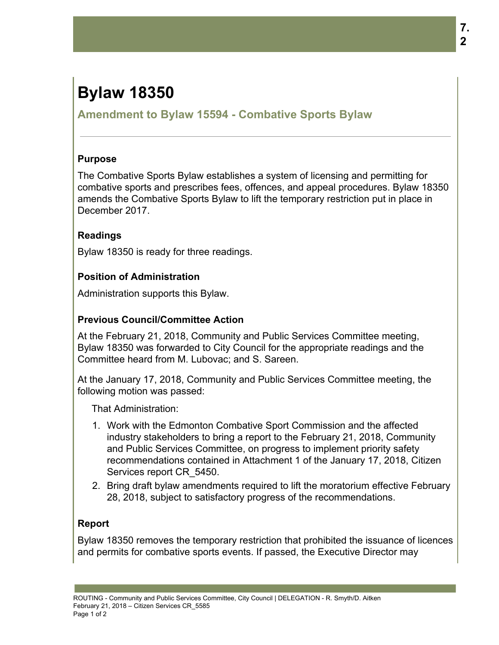# **Bylaw 18350**

## **Amendment to Bylaw 15594 - Combative Sports Bylaw**

### **Purpose**

The Combative Sports Bylaw establishes a system of licensing and permitting for combative sports and prescribes fees, offences, and appeal procedures. Bylaw 18350 amends the Combative Sports Bylaw to lift the temporary restriction put in place in December 2017.

## **Readings**

Bylaw 18350 is ready for three readings.

## **Position of Administration**

Administration supports this Bylaw.

## **Previous Council/Committee Action**

At the February 21, 2018, Community and Public Services Committee meeting, Bylaw 18350 was forwarded to City Council for the appropriate readings and the Committee heard from M. Lubovac; and S. Sareen.

At the January 17, 2018, Community and Public Services Committee meeting, the following motion was passed:

That Administration:

- 1. Work with the Edmonton Combative Sport Commission and the affected industry stakeholders to bring a report to the February 21, 2018, Community and Public Services Committee, on progress to implement priority safety recommendations contained in Attachment 1 of the January 17, 2018, Citizen Services report CR\_5450.
- 2. Bring draft bylaw amendments required to lift the moratorium effective February 28, 2018, subject to satisfactory progress of the recommendations.

## **Report**

Bylaw 18350 removes the temporary restriction that prohibited the issuance of licences and permits for combative sports events. If passed, the Executive Director may